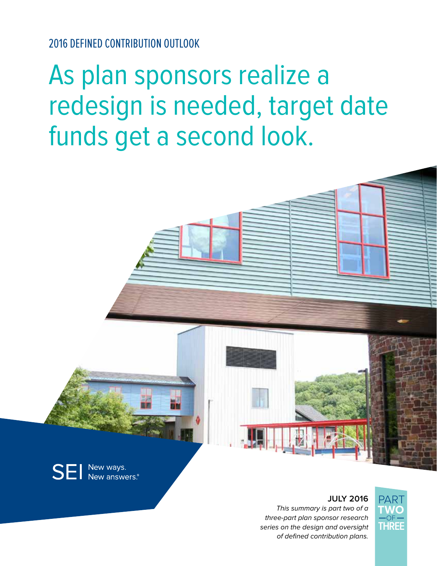2016 DEFINED CONTRIBUTION OUTLOOK

# As plan sponsors realize a redesign is needed, target date funds get a second look.



**JULY 2016**  This summary is part two of a three-part plan sponsor research series on the design and oversight of defined contribution plans.

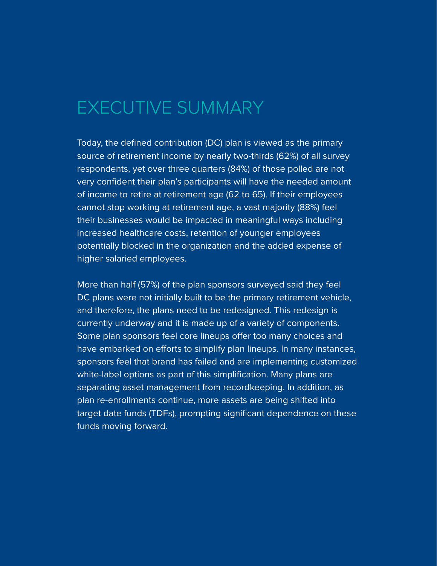## EXECUTIVE SUMMARY

Today, the defined contribution (DC) plan is viewed as the primary source of retirement income by nearly two-thirds (62%) of all survey respondents, yet over three quarters (84%) of those polled are not very confident their plan's participants will have the needed amount of income to retire at retirement age (62 to 65). If their employees cannot stop working at retirement age, a vast majority (88%) feel their businesses would be impacted in meaningful ways including increased healthcare costs, retention of younger employees potentially blocked in the organization and the added expense of higher salaried employees.

More than half (57%) of the plan sponsors surveyed said they feel DC plans were not initially built to be the primary retirement vehicle, and therefore, the plans need to be redesigned. This redesign is currently underway and it is made up of a variety of components. Some plan sponsors feel core lineups offer too many choices and have embarked on efforts to simplify plan lineups. In many instances, sponsors feel that brand has failed and are implementing customized white-label options as part of this simplification. Many plans are separating asset management from recordkeeping. In addition, as plan re-enrollments continue, more assets are being shifted into target date funds (TDFs), prompting significant dependence on these funds moving forward.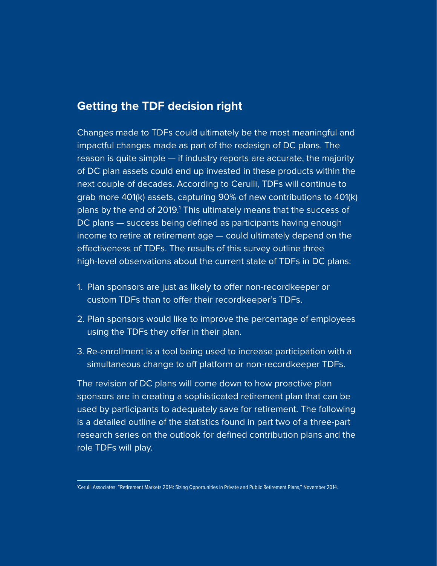### **Getting the TDF decision right**

Changes made to TDFs could ultimately be the most meaningful and impactful changes made as part of the redesign of DC plans. The reason is quite simple — if industry reports are accurate, the majority of DC plan assets could end up invested in these products within the next couple of decades. According to Cerulli, TDFs will continue to grab more 401(k) assets, capturing 90% of new contributions to 401(k) plans by the end of 2019.<sup>1</sup> This ultimately means that the success of DC plans — success being defined as participants having enough income to retire at retirement age — could ultimately depend on the effectiveness of TDFs. The results of this survey outline three high-level observations about the current state of TDFs in DC plans:

- 1. Plan sponsors are just as likely to offer non-recordkeeper or custom TDFs than to offer their recordkeeper's TDFs.
- 2. Plan sponsors would like to improve the percentage of employees using the TDFs they offer in their plan.
- 3. Re-enrollment is a tool being used to increase participation with a simultaneous change to off platform or non-recordkeeper TDFs.

The revision of DC plans will come down to how proactive plan sponsors are in creating a sophisticated retirement plan that can be used by participants to adequately save for retirement. The following is a detailed outline of the statistics found in part two of a three-part research series on the outlook for defined contribution plans and the role TDFs will play.

<sup>1</sup> Cerulli Associates. "Retirement Markets 2014: Sizing Opportunities in Private and Public Retirement Plans," November 2014.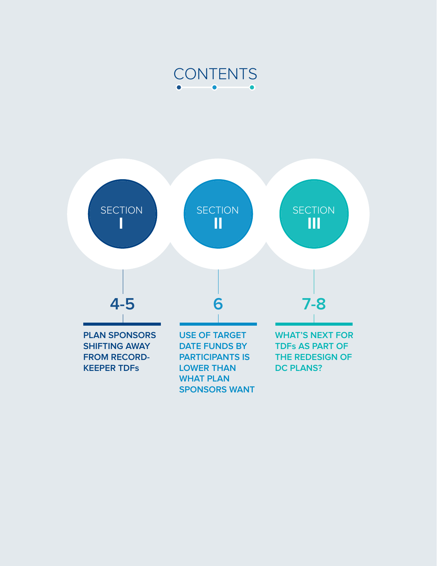

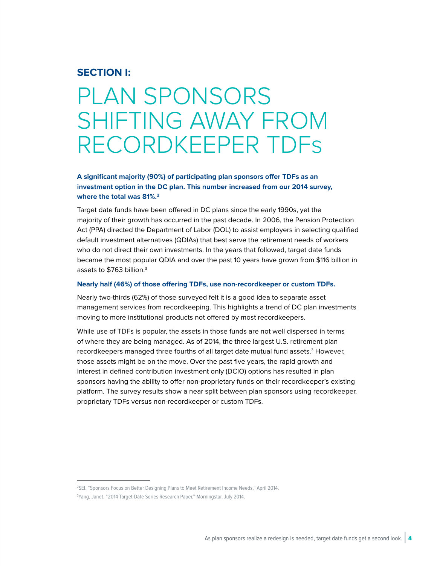### **SECTION I:**

## PLAN SPONSORS SHIFTING AWAY FROM RECORDKEEPER TDFs

#### **A significant majority (90%) of participating plan sponsors offer TDFs as an investment option in the DC plan. This number increased from our 2014 survey, where the total was 81%.2**

Target date funds have been offered in DC plans since the early 1990s, yet the majority of their growth has occurred in the past decade. In 2006, the Pension Protection Act (PPA) directed the Department of Labor (DOL) to assist employers in selecting qualified default investment alternatives (QDIAs) that best serve the retirement needs of workers who do not direct their own investments. In the years that followed, target date funds became the most popular QDIA and over the past 10 years have grown from \$116 billion in assets to \$763 billion.<sup>3</sup>

#### **Nearly half (46%) of those offering TDFs, use non-recordkeeper or custom TDFs.**

Nearly two-thirds (62%) of those surveyed felt it is a good idea to separate asset management services from recordkeeping. This highlights a trend of DC plan investments moving to more institutional products not offered by most recordkeepers.

While use of TDFs is popular, the assets in those funds are not well dispersed in terms of where they are being managed. As of 2014, the three largest U.S. retirement plan recordkeepers managed three fourths of all target date mutual fund assets. $^3$  However, those assets might be on the move. Over the past five years, the rapid growth and interest in defined contribution investment only (DCIO) options has resulted in plan sponsors having the ability to offer non-proprietary funds on their recordkeeper's existing platform. The survey results show a near split between plan sponsors using recordkeeper, proprietary TDFs versus non-recordkeeper or custom TDFs.

<sup>2</sup> SEI. "Sponsors Focus on Better Designing Plans to Meet Retirement Income Needs," April 2014.

<sup>3</sup> Yang, Janet. "2014 Target-Date Series Research Paper," Morningstar, July 2014.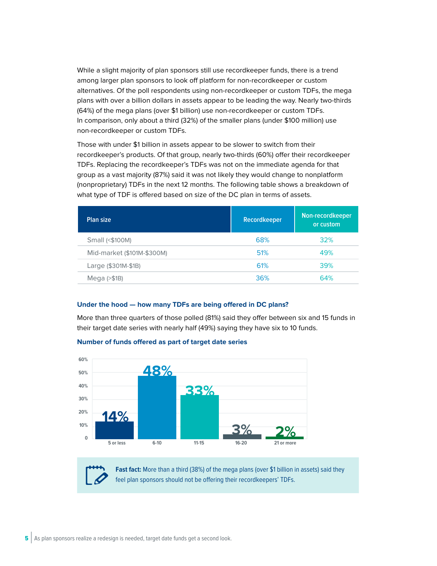While a slight majority of plan sponsors still use recordkeeper funds, there is a trend among larger plan sponsors to look off platform for non-recordkeeper or custom alternatives. Of the poll respondents using non-recordkeeper or custom TDFs, the mega plans with over a billion dollars in assets appear to be leading the way. Nearly two-thirds (64%) of the mega plans (over \$1 billion) use non-recordkeeper or custom TDFs. In comparison, only about a third (32%) of the smaller plans (under \$100 million) use non-recordkeeper or custom TDFs.

Those with under \$1 billion in assets appear to be slower to switch from their recordkeeper's products. Of that group, nearly two-thirds (60%) offer their recordkeeper TDFs. Replacing the recordkeeper's TDFs was not on the immediate agenda for that group as a vast majority (87%) said it was not likely they would change to nonplatform (nonproprietary) TDFs in the next 12 months. The following table shows a breakdown of what type of TDF is offered based on size of the DC plan in terms of assets.

| <b>Plan size</b>           | Recordkeeper | Non-recordkeeper<br>or custom |
|----------------------------|--------------|-------------------------------|
| Small (<\$100M)            | 68%          | 32%                           |
| Mid-market (\$101M-\$300M) | 51%          | 49%                           |
| Large (\$301M-\$1B)        | 61%          | 39%                           |
| Mega $(>\$1B)$             | 36%          | 64%                           |

#### **Under the hood — how many TDFs are being offered in DC plans?**

More than three quarters of those polled (81%) said they offer between six and 15 funds in their target date series with nearly half (49%) saying they have six to 10 funds.



#### **Number of funds offered as part of target date series**

**Fast fact:** More than a third (38%) of the mega plans (over \$1 billion in assets) said they feel plan sponsors should not be offering their recordkeepers' TDFs.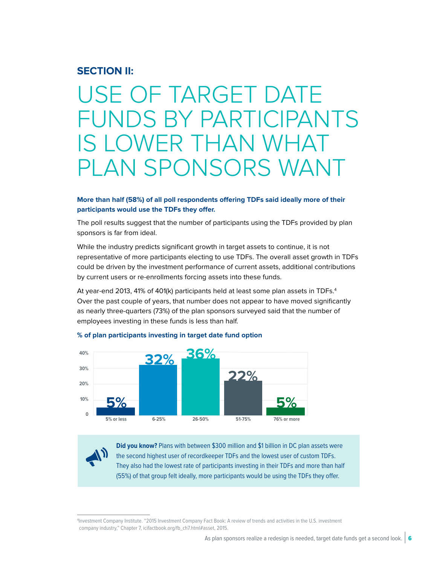### **SECTION II:**

## USE OF TARGET DATE FUNDS BY PARTICIPANTS IS LOWER THAN WHAT PLAN SPONSORS WANT

#### **More than half (58%) of all poll respondents offering TDFs said ideally more of their participants would use the TDFs they offer.**

The poll results suggest that the number of participants using the TDFs provided by plan sponsors is far from ideal.

While the industry predicts significant growth in target assets to continue, it is not representative of more participants electing to use TDFs. The overall asset growth in TDFs could be driven by the investment performance of current assets, additional contributions by current users or re-enrollments forcing assets into these funds.

At year-end 2013, 41% of 401(k) participants held at least some plan assets in TDFs.<sup>4</sup> Over the past couple of years, that number does not appear to have moved significantly as nearly three-quarters (73%) of the plan sponsors surveyed said that the number of employees investing in these funds is less than half.



#### **% of plan participants investing in target date fund option**

**Did you know?** Plans with between \$300 million and \$1 billion in DC plan assets were the second highest user of recordkeeper TDFs and the lowest user of custom TDFs. They also had the lowest rate of participants investing in their TDFs and more than half (55%) of that group felt ideally, more participants would be using the TDFs they offer.

<sup>4</sup> Investment Company Institute. "2015 Investment Company Fact Book: A review of trends and activities in the U.S. investment company industry," Chapter 7, icifactbook.org/fb\_ch7.html#asset, 2015.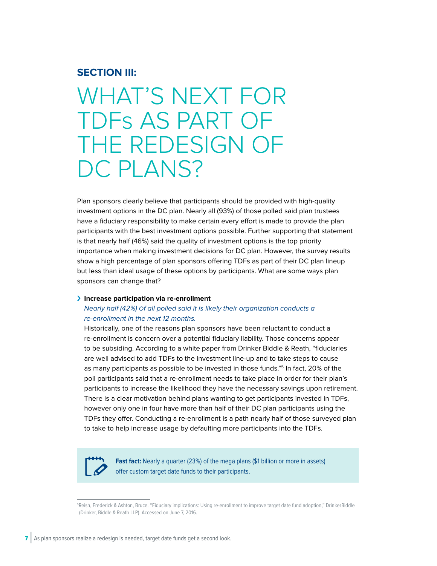### **SECTION III:**

## WHAT'S NEXT FOR TDFs AS PART OF THE REDESIGN OF DC PLANS?

Plan sponsors clearly believe that participants should be provided with high-quality investment options in the DC plan. Nearly all (93%) of those polled said plan trustees have a fiduciary responsibility to make certain every effort is made to provide the plan participants with the best investment options possible. Further supporting that statement is that nearly half (46%) said the quality of investment options is the top priority importance when making investment decisions for DC plan. However, the survey results show a high percentage of plan sponsors offering TDFs as part of their DC plan lineup but less than ideal usage of these options by participants. What are some ways plan sponsors can change that?

#### › **Increase participation via re-enrollment**

#### Nearly half (42%) Of all polled said it is likely their organization conducts a re-enrollment in the next 12 months.

Historically, one of the reasons plan sponsors have been reluctant to conduct a re-enrollment is concern over a potential fiduciary liability. Those concerns appear to be subsiding. According to a white paper from Drinker Biddle & Reath, "fiduciaries are well advised to add TDFs to the investment line-up and to take steps to cause as many participants as possible to be invested in those funds."5 In fact, 20% of the poll participants said that a re-enrollment needs to take place in order for their plan's participants to increase the likelihood they have the necessary savings upon retirement. There is a clear motivation behind plans wanting to get participants invested in TDFs, however only one in four have more than half of their DC plan participants using the TDFs they offer. Conducting a re-enrollment is a path nearly half of those surveyed plan to take to help increase usage by defaulting more participants into the TDFs.

**Fast fact:** Nearly a quarter (23%) of the mega plans (\$1 billion or more in assets) offer custom target date funds to their participants.

<sup>5</sup> Reish, Frederick & Ashton, Bruce. "Fiduciary implications: Using re-enrollment to improve target date fund adoption," DrinkerBiddle (Drinker, Biddle & Reath LLP). Accessed on June 7, 2016.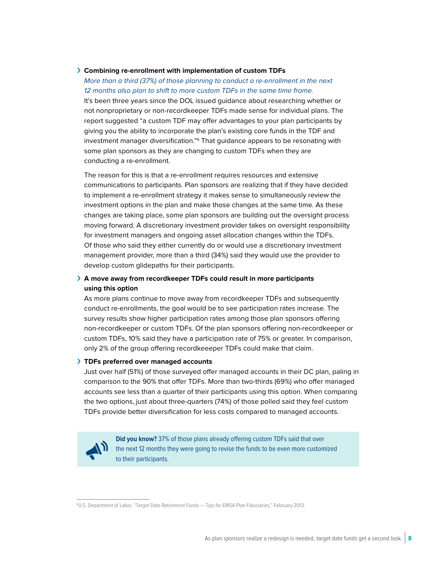#### › **Combining re-enrollment with implementation of custom TDFs**

More than a third (37%) of those planning to conduct a re-enrollment in the next 12 months also plan to shift to more custom TDFs in the same time frame. It's been three years since the DOL issued guidance about researching whether or not nonproprietary or non-recordkeeper TDFs made sense for individual plans. The report suggested "a custom TDF may offer advantages to your plan participants by giving you the ability to incorporate the plan's existing core funds in the TDF and investment manager diversification."<sup>6</sup> That guidance appears to be resonating with some plan sponsors as they are changing to custom TDFs when they are conducting a re-enrollment.

The reason for this is that a re-enrollment requires resources and extensive communications to participants. Plan sponsors are realizing that if they have decided to implement a re-enrollment strategy it makes sense to simultaneously review the investment options in the plan and make those changes at the same time. As these changes are taking place, some plan sponsors are building out the oversight process moving forward. A discretionary investment provider takes on oversight responsibility for investment managers and ongoing asset allocation changes within the TDFs. Of those who said they either currently do or would use a discretionary investment management provider, more than a third (34%) said they would use the provider to develop custom glidepaths for their participants.

#### › **A move away from recordkeeper TDFs could result in more participants using this option**

As more plans continue to move away from recordkeeper TDFs and subsequently conduct re-enrollments, the goal would be to see participation rates increase. The survey results show higher participation rates among those plan sponsors offering non-recordkeeper or custom TDFs. Of the plan sponsors offering non-recordkeeper or custom TDFs, 10% said they have a participation rate of 75% or greater. In comparison, only 2% of the group offering recordkeeeper TDFs could make that claim.

#### › **TDFs preferred over managed accounts**

Just over half (51%) of those surveyed offer managed accounts in their DC plan, paling in comparison to the 90% that offer TDFs. More than two-thirds (69%) who offer managed accounts see less than a quarter of their participants using this option. When comparing the two options, just about three-quarters (74%) of those polled said they feel custom TDFs provide better diversification for less costs compared to managed accounts.



**Did you know?** 37% of those plans already offering custom TDFs said that over the next 12 months they were going to revise the funds to be even more customized to their participants.

<sup>6</sup> U.S. Department of Labor. "Target Date Retirement Funds — Tips for ERISA Plan Fiduciaries," February 2013.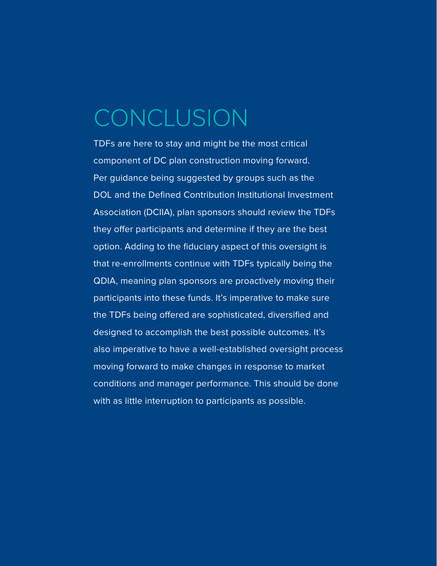## CONCLUSION

TDFs are here to stay and might be the most critical component of DC plan construction moving forward. Per guidance being suggested by groups such as the DOL and the Defined Contribution Institutional Investment Association (DCIIA), plan sponsors should review the TDFs they offer participants and determine if they are the best option. Adding to the fiduciary aspect of this oversight is that re-enrollments continue with TDFs typically being the QDIA, meaning plan sponsors are proactively moving their participants into these funds. It's imperative to make sure the TDFs being offered are sophisticated, diversified and designed to accomplish the best possible outcomes. It's also imperative to have a well-established oversight process moving forward to make changes in response to market conditions and manager performance. This should be done with as little interruption to participants as possible.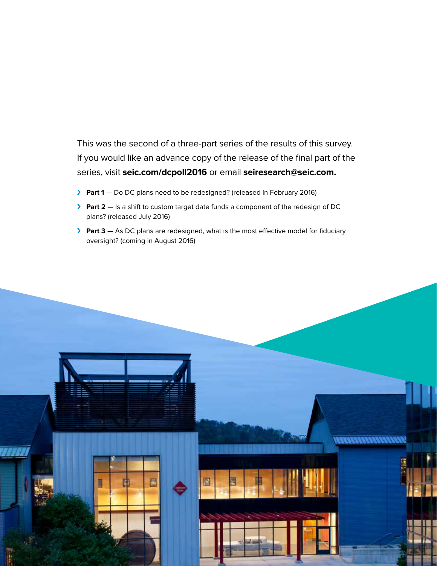This was the second of a three-part series of the results of this survey. If you would like an advance copy of the release of the final part of the series, visit **seic.com/dcpoll2016** or email **seiresearch@seic.com.**

- › **Part 1** Do DC plans need to be redesigned? (released in February 2016)
- › **Part 2** Is a shift to custom target date funds a component of the redesign of DC plans? (released July 2016)
- > **Part 3** As DC plans are redesigned, what is the most effective model for fiduciary oversight? (coming in August 2016)